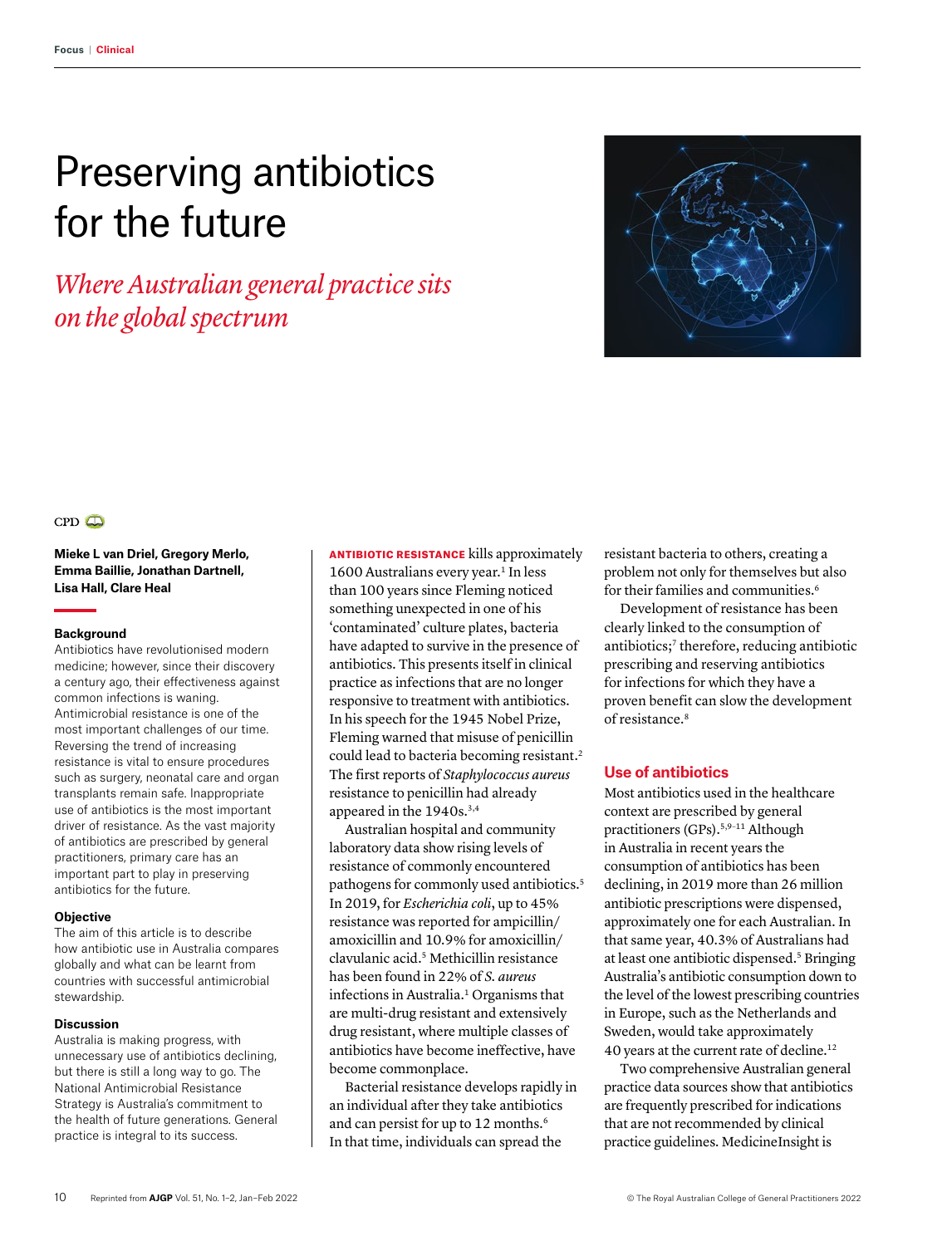# Preserving antibiotics for the future

*Where Australian general practice sits on the global spectrum*





**Mieke L van Driel, Gregory Merlo, Emma Baillie, Jonathan Dartnell, Lisa Hall, Clare Heal**

#### **Background**

Antibiotics have revolutionised modern medicine; however, since their discovery a century ago, their effectiveness against common infections is waning. Antimicrobial resistance is one of the most important challenges of our time. Reversing the trend of increasing resistance is vital to ensure procedures such as surgery, neonatal care and organ transplants remain safe. Inappropriate use of antibiotics is the most important driver of resistance. As the vast majority of antibiotics are prescribed by general practitioners, primary care has an important part to play in preserving antibiotics for the future.

#### **Objective**

The aim of this article is to describe how antibiotic use in Australia compares globally and what can be learnt from countries with successful antimicrobial stewardship.

#### **Discussion**

Australia is making progress, with unnecessary use of antibiotics declining, but there is still a long way to go. The National Antimicrobial Resistance Strategy is Australia's commitment to the health of future generations. General practice is integral to its success.

ANTIBIOTIC RESISTANCE kills approximately 1600 Australians every year.<sup>1</sup> In less than 100 years since Fleming noticed something unexpected in one of his 'contaminated' culture plates, bacteria have adapted to survive in the presence of antibiotics. This presents itself in clinical practice as infections that are no longer responsive to treatment with antibiotics. In his speech for the 1945 Nobel Prize, Fleming warned that misuse of penicillin could lead to bacteria becoming resistant.<sup>2</sup> The first reports of *Staphylococcus aureus* resistance to penicillin had already appeared in the 1940s.<sup>3,4</sup>

Australian hospital and community laboratory data show rising levels of resistance of commonly encountered pathogens for commonly used antibiotics.<sup>5</sup> In 2019, for *Escherichia coli*, up to 45% resistance was reported for ampicillin/ amoxicillin and 10.9% for amoxicillin/ clavulanic acid.5 Methicillin resistance has been found in 22% of *S. aureus* infections in Australia.1 Organisms that are multi-drug resistant and extensively drug resistant, where multiple classes of antibiotics have become ineffective, have become commonplace.

Bacterial resistance develops rapidly in an individual after they take antibiotics and can persist for up to 12 months.<sup>6</sup> In that time, individuals can spread the

resistant bacteria to others, creating a problem not only for themselves but also for their families and communities.6

Development of resistance has been clearly linked to the consumption of antibiotics;<sup>7</sup> therefore, reducing antibiotic prescribing and reserving antibiotics for infections for which they have a proven benefit can slow the development of resistance.8

# **Use of antibiotics**

Most antibiotics used in the healthcare context are prescribed by general practitioners (GPs).5,9–11 Although in Australia in recent years the consumption of antibiotics has been declining, in 2019 more than 26 million antibiotic prescriptions were dispensed, approximately one for each Australian. In that same year, 40.3% of Australians had at least one antibiotic dispensed.<sup>5</sup> Bringing Australia's antibiotic consumption down to the level of the lowest prescribing countries in Europe, such as the Netherlands and Sweden, would take approximately 40 years at the current rate of decline.12

Two comprehensive Australian general practice data sources show that antibiotics are frequently prescribed for indications that are not recommended by clinical practice guidelines. MedicineInsight is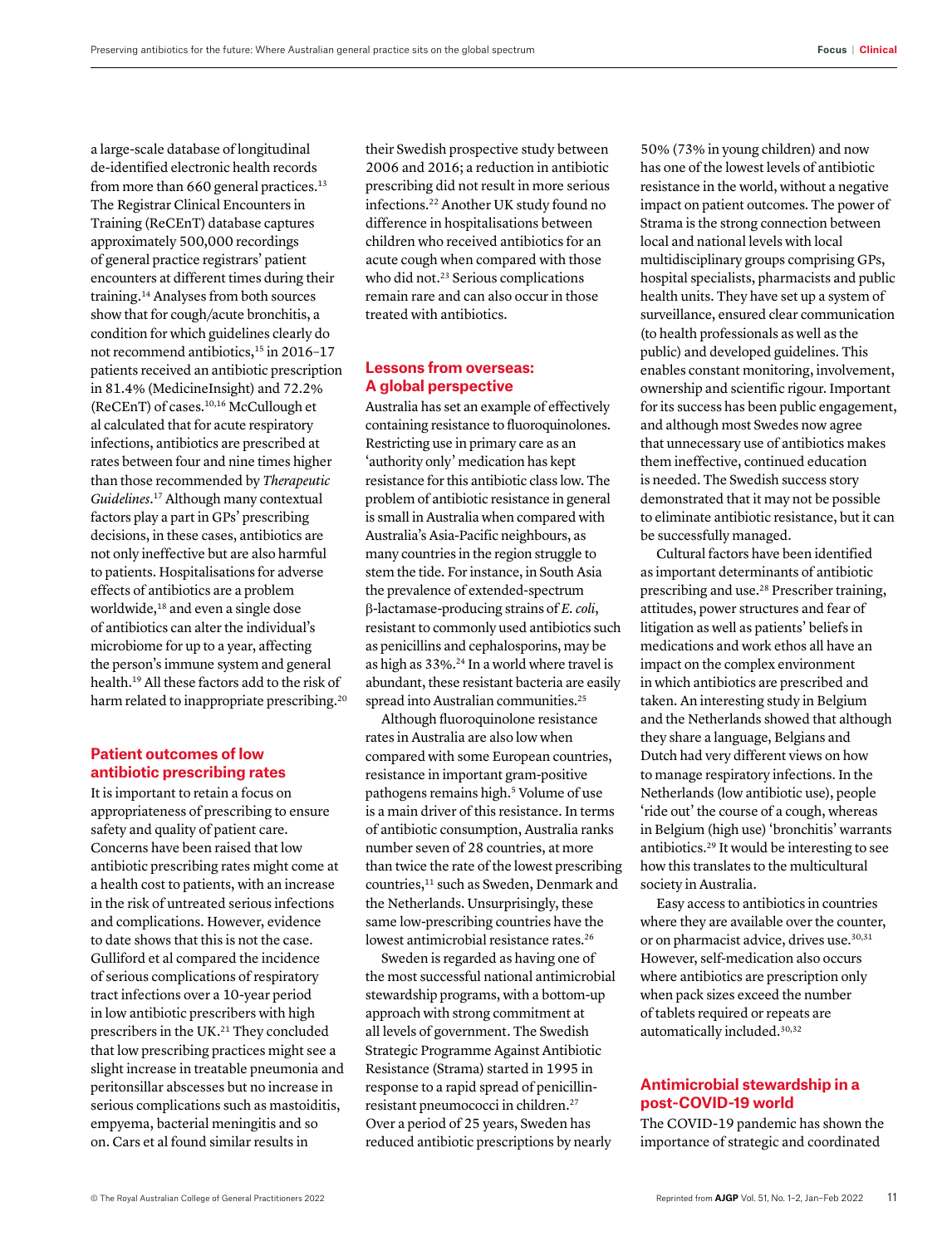a large-scale database of longitudinal de-identified electronic health records from more than 660 general practices.<sup>13</sup> The Registrar Clinical Encounters in Training (ReCEnT) database captures approximately 500,000 recordings of general practice registrars' patient encounters at different times during their training.14 Analyses from both sources show that for cough/acute bronchitis, a condition for which guidelines clearly do not recommend antibiotics,<sup>15</sup> in 2016-17 patients received an antibiotic prescription in 81.4% (MedicineInsight) and 72.2% (ReCEnT) of cases.10,16 McCullough et al calculated that for acute respiratory infections, antibiotics are prescribed at rates between four and nine times higher than those recommended by *Therapeutic Guidelines*. 17 Although many contextual factors play a part in GPs' prescribing decisions, in these cases, antibiotics are not only ineffective but are also harmful to patients. Hospitalisations for adverse effects of antibiotics are a problem worldwide,<sup>18</sup> and even a single dose of antibiotics can alter the individual's microbiome for up to a year, affecting the person's immune system and general health.19 All these factors add to the risk of harm related to inappropriate prescribing.<sup>20</sup>

## **Patient outcomes of low antibiotic prescribing rates**

It is important to retain a focus on appropriateness of prescribing to ensure safety and quality of patient care. Concerns have been raised that low antibiotic prescribing rates might come at a health cost to patients, with an increase in the risk of untreated serious infections and complications. However, evidence to date shows that this is not the case. Gulliford et al compared the incidence of serious complications of respiratory tract infections over a 10-year period in low antibiotic prescribers with high prescribers in the UK.<sup>21</sup> They concluded that low prescribing practices might see a slight increase in treatable pneumonia and peritonsillar abscesses but no increase in serious complications such as mastoiditis, empyema, bacterial meningitis and so on. Cars et al found similar results in

their Swedish prospective study between 2006 and 2016; a reduction in antibiotic prescribing did not result in more serious infections.22 Another UK study found no difference in hospitalisations between children who received antibiotics for an acute cough when compared with those who did not.<sup>23</sup> Serious complications remain rare and can also occur in those treated with antibiotics.

# **Lessons from overseas: A global perspective**

Australia has set an example of effectively containing resistance to fluoroquinolones. Restricting use in primary care as an 'authority only' medication has kept resistance for this antibiotic class low. The problem of antibiotic resistance in general is small in Australia when compared with Australia's Asia-Pacific neighbours, as many countries in the region struggle to stem the tide. For instance, in South Asia the prevalence of extended-spectrum β-lactamase-producing strains of *E. coli*, resistant to commonly used antibiotics such as penicillins and cephalosporins, may be as high as 33%.24 In a world where travel is abundant, these resistant bacteria are easily spread into Australian communities.<sup>25</sup>

Although fluoroquinolone resistance rates in Australia are also low when compared with some European countries, resistance in important gram-positive pathogens remains high.<sup>5</sup> Volume of use is a main driver of this resistance. In terms of antibiotic consumption, Australia ranks number seven of 28 countries, at more than twice the rate of the lowest prescribing countries,<sup>11</sup> such as Sweden, Denmark and the Netherlands. Unsurprisingly, these same low-prescribing countries have the lowest antimicrobial resistance rates.<sup>26</sup>

Sweden is regarded as having one of the most successful national antimicrobial stewardship programs, with a bottom-up approach with strong commitment at all levels of government. The Swedish Strategic Programme Against Antibiotic Resistance (Strama) started in 1995 in response to a rapid spread of penicillinresistant pneumococci in children.27 Over a period of 25 years, Sweden has reduced antibiotic prescriptions by nearly

50% (73% in young children) and now has one of the lowest levels of antibiotic resistance in the world, without a negative impact on patient outcomes. The power of Strama is the strong connection between local and national levels with local multidisciplinary groups comprising GPs, hospital specialists, pharmacists and public health units. They have set up a system of surveillance, ensured clear communication (to health professionals as well as the public) and developed guidelines. This enables constant monitoring, involvement, ownership and scientific rigour. Important for its success has been public engagement, and although most Swedes now agree that unnecessary use of antibiotics makes them ineffective, continued education is needed. The Swedish success story demonstrated that it may not be possible to eliminate antibiotic resistance, but it can be successfully managed.

Cultural factors have been identified as important determinants of antibiotic prescribing and use.<sup>28</sup> Prescriber training, attitudes, power structures and fear of litigation as well as patients' beliefs in medications and work ethos all have an impact on the complex environment in which antibiotics are prescribed and taken. An interesting study in Belgium and the Netherlands showed that although they share a language, Belgians and Dutch had very different views on how to manage respiratory infections. In the Netherlands (low antibiotic use), people 'ride out' the course of a cough, whereas in Belgium (high use) 'bronchitis' warrants antibiotics.29 It would be interesting to see how this translates to the multicultural society in Australia.

Easy access to antibiotics in countries where they are available over the counter, or on pharmacist advice, drives use.<sup>30,31</sup> However, self-medication also occurs where antibiotics are prescription only when pack sizes exceed the number of tablets required or repeats are automatically included.30,32

## **Antimicrobial stewardship in a post-COVID-19 world**

The COVID-19 pandemic has shown the importance of strategic and coordinated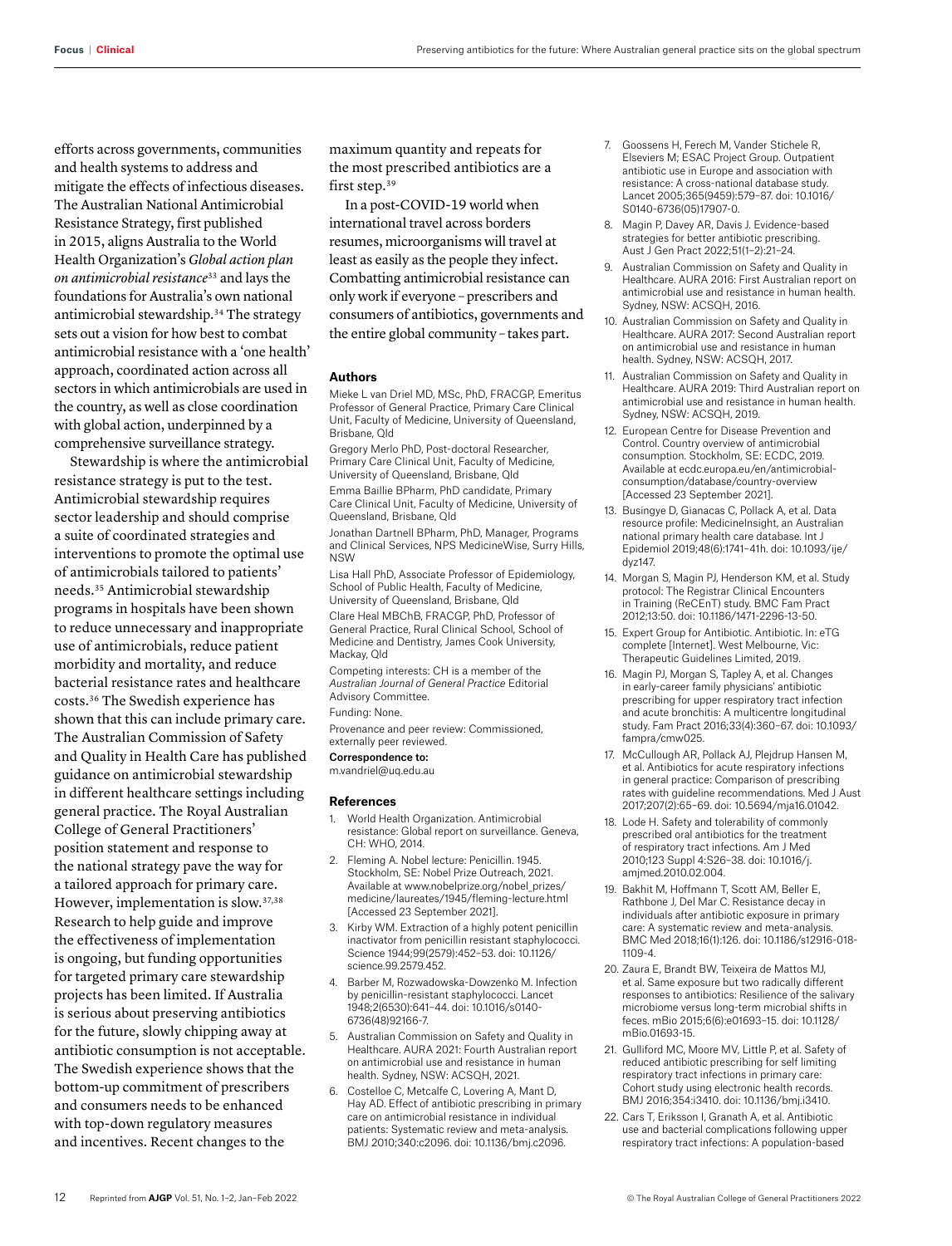efforts across governments, communities and health systems to address and mitigate the effects of infectious diseases. The Australian National Antimicrobial Resistance Strategy, first published in 2015, aligns Australia to the World Health Organization's *Global action plan on antimicrobial resistance*<sup>33</sup> and lays the foundations for Australia's own national antimicrobial stewardship.34 The strategy sets out a vision for how best to combat antimicrobial resistance with a 'one health' approach, coordinated action across all sectors in which antimicrobials are used in the country, as well as close coordination with global action, underpinned by a comprehensive surveillance strategy.

Stewardship is where the antimicrobial resistance strategy is put to the test. Antimicrobial stewardship requires sector leadership and should comprise a suite of coordinated strategies and interventions to promote the optimal use of antimicrobials tailored to patients' needs.35 Antimicrobial stewardship programs in hospitals have been shown to reduce unnecessary and inappropriate use of antimicrobials, reduce patient morbidity and mortality, and reduce bacterial resistance rates and healthcare costs.36 The Swedish experience has shown that this can include primary care. The Australian Commission of Safety and Quality in Health Care has published guidance on antimicrobial stewardship in different healthcare settings including general practice. The Royal Australian College of General Practitioners' position statement and response to the national strategy pave the way for a tailored approach for primary care. However, implementation is slow.37,38 Research to help guide and improve the effectiveness of implementation is ongoing, but funding opportunities for targeted primary care stewardship projects has been limited. If Australia is serious about preserving antibiotics for the future, slowly chipping away at antibiotic consumption is not acceptable. The Swedish experience shows that the bottom-up commitment of prescribers and consumers needs to be enhanced with top-down regulatory measures and incentives. Recent changes to the

maximum quantity and repeats for the most prescribed antibiotics are a first step.<sup>39</sup>

In a post-COVID-19 world when international travel across borders resumes, microorganisms will travel at least as easily as the people they infect. Combatting antimicrobial resistance can only work if everyone – prescribers and consumers of antibiotics, governments and the entire global community – takes part.

#### **Authors**

Mieke L van Driel MD, MSc, PhD, FRACGP, Emeritus Professor of General Practice, Primary Care Clinical Unit, Faculty of Medicine, University of Queensland, Brisbane, Qld

Gregory Merlo PhD, Post-doctoral Researcher, Primary Care Clinical Unit, Faculty of Medicine, University of Queensland, Brisbane, Qld Emma Baillie BPharm, PhD candidate, Primary Care Clinical Unit, Faculty of Medicine, University of Queensland, Brisbane, Qld

Jonathan Dartnell BPharm, PhD, Manager, Programs and Clinical Services, NPS MedicineWise, Surry Hills, NSW

Lisa Hall PhD, Associate Professor of Epidemiology, School of Public Health, Faculty of Medicine, University of Queensland, Brisbane, Qld

Clare Heal MBChB, FRACGP, PhD, Professor of General Practice, Rural Clinical School, School of Medicine and Dentistry, James Cook University, Mackay, Qld

Competing interests: CH is a member of the *Australian Journal of General Practice* Editorial Advisory Committee.

Funding: None.

Provenance and peer review: Commissioned, externally peer reviewed.

## Correspondence to:

m.vandriel@uq.edu.au

### **References**

- 1. World Health Organization. Antimicrobial resistance: Global report on surveillance. Geneva, CH: WHO, 2014.
- 2. Fleming A. Nobel lecture: Penicillin. 1945. Stockholm, SE: Nobel Prize Outreach, 2021. Available at www.nobelprize.org/nobel\_prizes/ medicine/laureates/1945/fleming-lecture.html [Accessed 23 September 2021].
- 3. Kirby WM. Extraction of a highly potent penicillin inactivator from penicillin resistant staphylococci. Science 1944;99(2579):452–53. doi: 10.1126/ science.99.2579.452.
- 4. Barber M, Rozwadowska-Dowzenko M. Infection by penicillin-resistant staphylococci. Lancet 1948;2(6530):641–44. doi: 10.1016/s0140- 6736(48)92166-7.
- 5. Australian Commission on Safety and Quality in Healthcare. AURA 2021: Fourth Australian report on antimicrobial use and resistance in human health. Sydney, NSW: ACSQH, 2021.
- 6. Costelloe C, Metcalfe C, Lovering A, Mant D, Hay AD. Effect of antibiotic prescribing in primary care on antimicrobial resistance in individual patients: Systematic review and meta-analysis. BMJ 2010;340:c2096. doi: 10.1136/bmj.c2096.
- 7. Goossens H, Ferech M, Vander Stichele R, Elseviers M; ESAC Project Group. Outpatient antibiotic use in Europe and association with resistance: A cross-national database study. Lancet 2005;365(9459):579–87. doi: 10.1016/ S0140-6736(05)17907-0.
- 8. Magin P, Davey AR, Davis J. Evidence-based strategies for better antibiotic prescribing. Aust J Gen Pract 2022;51(1–2):21–24.
- 9. Australian Commission on Safety and Quality in Healthcare. AURA 2016: First Australian report on antimicrobial use and resistance in human health. Sydney, NSW: ACSQH, 2016.
- 10. Australian Commission on Safety and Quality in Healthcare. AURA 2017: Second Australian report on antimicrobial use and resistance in human health. Sydney, NSW: ACSQH, 2017.
- 11. Australian Commission on Safety and Quality in Healthcare. AURA 2019: Third Australian report on antimicrobial use and resistance in human health. Sydney, NSW: ACSQH, 2019.
- 12. European Centre for Disease Prevention and Control. Country overview of antimicrobial consumption. Stockholm, SE: ECDC, 2019. Available at ecdc.europa.eu/en/antimicrobialconsumption/database/country-overview [Accessed 23 September 2021].
- 13. Busingye D, Gianacas C, Pollack A, et al. Data resource profile: MedicineInsight, an Australian national primary health care database. Int J Epidemiol 2019;48(6):1741–41h. doi: 10.1093/ije/ dyz147.
- 14. Morgan S, Magin PJ, Henderson KM, et al. Study protocol: The Registrar Clinical Encounters in Training (ReCEnT) study. BMC Fam Pract 2012;13:50. doi: 10.1186/1471-2296-13-50.
- 15. Expert Group for Antibiotic. Antibiotic. In: eTG complete [Internet]. West Melbourne, Vic: Therapeutic Guidelines Limited, 2019.
- 16. Magin PJ, Morgan S, Tapley A, et al. Changes in early-career family physicians' antibiotic prescribing for upper respiratory tract infection and acute bronchitis: A multicentre longitudinal study. Fam Pract 2016;33(4):360–67. doi: 10.1093/ fampra/cmw025.
- 17. McCullough AR, Pollack AJ, Plejdrup Hansen M, et al. Antibiotics for acute respiratory infections in general practice: Comparison of prescribing rates with guideline recommendations. Med J Aust 2017;207(2):65–69. doi: 10.5694/mja16.01042.
- 18. Lode H. Safety and tolerability of commonly prescribed oral antibiotics for the treatment of respiratory tract infections. Am J Med 2010;123 Suppl 4:S26–38. doi: 10.1016/j. amjmed.2010.02.004.
- 19. Bakhit M, Hoffmann T, Scott AM, Beller E, Rathbone J, Del Mar C. Resistance decay in individuals after antibiotic exposure in primary care: A systematic review and meta-analysis. BMC Med 2018;16(1):126. doi: 10.1186/s12916-018- 1109-4.
- 20. Zaura E, Brandt BW, Teixeira de Mattos MJ, et al. Same exposure but two radically different responses to antibiotics: Resilience of the salivary microbiome versus long-term microbial shifts in feces. mBio 2015;6(6):e01693–15. doi: 10.1128/ mBio.01693-15.
- 21. Gulliford MC, Moore MV, Little P, et al. Safety of reduced antibiotic prescribing for self limiting respiratory tract infections in primary care: Cohort study using electronic health records. BMJ 2016;354:i3410. doi: 10.1136/bmj.i3410.
- 22. Cars T, Eriksson I, Granath A, et al. Antibiotic use and bacterial complications following upper respiratory tract infections: A population-based